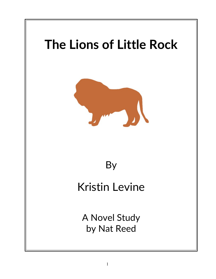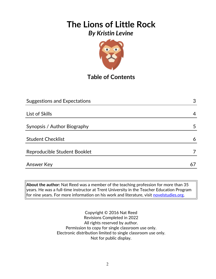

# **Table of Contents**

| <b>Suggestions and Expectations</b> | 3  |
|-------------------------------------|----|
|                                     |    |
| List of Skills                      | 4  |
|                                     |    |
| Synopsis / Author Biography         | 5  |
|                                     |    |
| <b>Student Checklist</b>            | 6  |
|                                     |    |
| Reproducible Student Booklet        |    |
|                                     |    |
| Answer Key                          | 67 |

**About the author:** Nat Reed was a member of the teaching profession for more than 35 years. He was a full-time instructor at Trent University in the Teacher Education Program for nine years. For more information on his work and literature, visit [novelstudies.org.](http://www.novelstudies.org/)

> Copyright © 2016 Nat Reed Revisions Completed in 2022 All rights reserved by author. Permission to copy for single classroom use only. Electronic distribution limited to single classroom use only. Not for public display.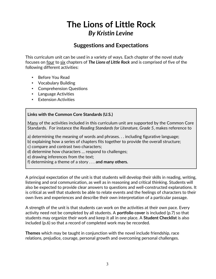### **Suggestions and Expectations**

This curriculum unit can be used in a variety of ways. Each chapter of the novel study focuses on four to six chapters of *The Lions of Little Rock* and is comprised of five of the following different activities:

- Before You Read
- Vocabulary Building
- Comprehension Questions
- Language Activities
- Extension Activities

#### **Links with the Common Core Standards (U.S.)**

Many of the activities included in this curriculum unit are supported by the Common Core Standards. For instance the *Reading Standards for Literature, Grade 5*, makes reference to

a) determining the meaning of words and phrases. . . including figurative language;

b) explaining how a series of chapters fits together to provide the overall structure;

c) compare and contrast two characters;

d) determine how characters … respond to challenges;

e) drawing inferences from the text;

f) determining a theme of a story . . . **and many others.**

A principal expectation of the unit is that students will develop their skills in reading, writing, listening and oral communication, as well as in reasoning and critical thinking. Students will also be expected to provide clear answers to questions and well-constructed explanations. It is critical as well that students be able to relate events and the feelings of characters to their own lives and experiences and describe their own interpretation of a particular passage.

A strength of the unit is that students can work on the activities at their own pace. Every activity need not be completed by all students. A **portfolio cover** is included (p.7) so that students may organize their work and keep it all in one place. A **Student Checklist** is also included (p.6) so that a record of completed work may be recorded.

**Themes** which may be taught in conjunction with the novel include friendship, race relations, prejudice, courage, personal growth and overcoming personal challenges.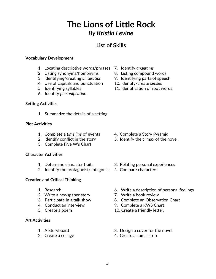## **List of Skills**

#### **Vocabulary Development**

- 1. Locating descriptive words/phrases 7. Identify *anagrams*
- 2. Listing synonyms/homonyms 8. Listing compound words
- 3. Identifying/creating *alliteration* 9. Identifying parts of speech
- 4. Use of capitals and punctuation 10. Identify/create *similes*
- 
- 6. Identify *personification*.

#### **Setting Activities**

1. Summarize the details of a setting

#### **Plot Activities**

- 1. Complete a *time line* of events 4. Complete a Story Pyramid
- 
- 3. Complete Five W's Chart

#### **Character Activities**

- 
- 2. Identify the protagonist/antagonist 4. Compare characters

#### **Creative and Critical Thinking**

- 
- 2. Write a newspaper story **7. Write a book review**
- 
- 
- 

#### **Art Activities**

- 
- 
- 
- 
- 
- 
- 5. Identifying syllables 11. Identification of root words

- 
- 2. Identify conflict in the story 5. Identify the climax of the novel.
- 1. Determine character traits 3. Relating personal experiences
	-
- 1. Research 6. Write a description of personal feelings
	-
- 3. Participate in a talk show 8. Complete an Observation Chart
- 4. Conduct an interview 9. Complete a KWS Chart
- 5. Create a poem 10. Create a friendly letter.
- 1. A Storyboard 3. Design a cover for the novel
- 2. Create a collage 2. Create a comic strip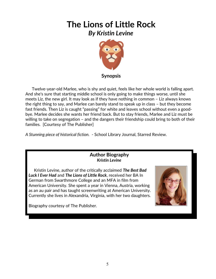

 Twelve-year-old Marlee, who is shy and quiet, feels like her whole world is falling apart. And she's sure that starting middle school is only going to make things worse, until she meets Liz, the new girl. It may look as if they have nothing in common – Liz always knows the right thing to say, and Marlee can barely stand to speak up in class – but they become fast friends. Then Liz is caught "passing" for white and leaves school without even a goodbye. Marlee decides she wants her friend back. But to stay friends, Marlee and Liz must be willing to take on segregation – and the dangers their friendship could bring to both of their families. [Courtesy of The Publisher]

*A Stunning piece of historical fiction.* - School Library Journal, Starred Review.

#### **Author Biography** *Kristin Levine*

 Kristin Levine, author of the critically acclaimed *The Best Bad Luck I Ever Had* and *The Lions of Little Rock*, received her BA In German from Swarthmore College and an MFA in film from American University. She spent a year in Vienna, Austria, working as an au pair and has taught screenwriting at American University. Currently she lives in Alexandria, Virginia, with her two daughters.



Biography courtesy of The Publisher.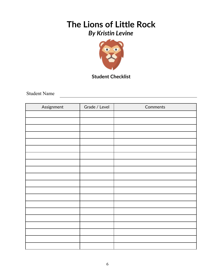

**Student Checklist**

Student Name

| Assignment | Grade / Level | Comments |
|------------|---------------|----------|
|            |               |          |
|            |               |          |
|            |               |          |
|            |               |          |
|            |               |          |
|            |               |          |
|            |               |          |
|            |               |          |
|            |               |          |
|            |               |          |
|            |               |          |
|            |               |          |
|            |               |          |
|            |               |          |
|            |               |          |
|            |               |          |
|            |               |          |
|            |               |          |
|            |               |          |
|            |               |          |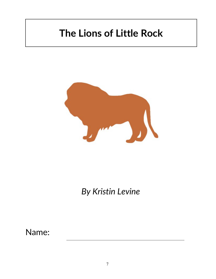# **The Lions of Little Rock**



*By Kristin Levine*

Name: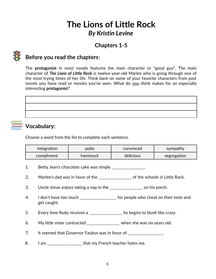## **Chapters 1-5**



## **Before you read the chapters**:

The **protagonist** in most novels features the main character or "good guy". The main character of *The Lions of Little Rock* is twelve-year-old Marlee who is going through one of the most trying times of her life. Think back on some of your favorite characters from past novels you have read or movies you've seen. What do you think makes for an especially interesting **protagonist**?



# **Vocabulary:**

Choose a word from the list to complete each sentence.

| integration | polio   | convinced | sympathy    |
|-------------|---------|-----------|-------------|
| compliment  | hammock | delicious | segregation |

- 1. Betty Jean's chocolate cake was simply \_\_\_\_\_\_\_\_\_\_\_\_\_\_\_.
- 2. Marlee's dad was in favor of the \_\_\_\_\_\_\_\_\_\_\_\_\_\_\_\_\_ of the schools in Little Rock.
- 3. Uncle Jonas enjoys taking a nap in the \_\_\_\_\_\_\_\_\_\_\_\_\_\_\_\_\_ on his porch.
- 4. I don't have too much \_\_\_\_\_\_\_\_\_\_\_\_\_\_\_\_\_\_\_ for people who cheat on their tests and get caught.
- 5. Every time Rudy receives a \_\_\_\_\_\_\_\_\_\_\_\_\_\_\_ he begins to blush like crazy.
- 6. My little sister contracted \_\_\_\_\_\_\_\_\_\_\_\_\_\_\_\_\_ when she was six years old.
- 7. It seemed that Governor Faubus was in favor of \_\_\_\_\_\_\_\_\_\_\_\_\_\_\_.
- 8. I am \_\_\_\_\_\_\_\_\_\_\_\_\_\_\_\_\_\_\_ that my French teacher hates me.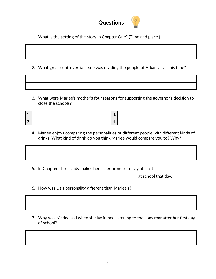

1. What is the **setting** of the story in Chapter One? (Time and place.)

- 2. What great controversial issue was dividing the people of Arkansas at this time?
- 3. What were Marlee's mother's four reasons for supporting the governor's decision to close the schools?

| <u>. на с</u> | J.  |  |
|---------------|-----|--|
| <u>.</u>      | . . |  |

- 4. Marlee enjoys comparing the personalities of different people with different kinds of drinks. What kind of drink do you think Marlee would compare you to? Why?
- 5. In Chapter Three Judy makes her sister promise to say at least

\_\_\_\_\_\_\_\_\_\_\_\_\_\_\_\_\_\_\_\_\_\_\_\_\_\_\_\_\_\_\_\_\_\_\_\_\_\_\_\_\_\_\_\_\_\_\_\_\_\_\_ at school that day.

- 6. How was Liz's personality different than Marlee's?
- 7. Why was Marlee sad when she lay in bed listening to the lions roar after her first day of school?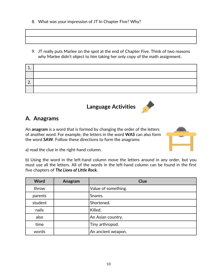- 8. What was your impression of JT In Chapter Five? Why?
- 9. JT really puts Marlee on the spot at the end of Chapter Five. Think of two reasons why Marlee didn't object to him taking her only copy of the math assignment.

| ∸             |  |
|---------------|--|
|               |  |
| ┍<br><u>.</u> |  |
|               |  |

**Language Activities**



An **anagram** is a word that is formed by changing the order of the letters of another word. For example, the letters in the word **WAS** can also form the word **SAW**. Follow these directions to form the anagrams:



a) read the clue in the right-hand column.

b) Using the word in the left-hand column move the letters around in any order, but you must use all the letters. All of the words in the left-hand column can be found in the first five chapters of *The Lions of Little Rock.*

| <b>Word</b> | Anagram | <b>Clue</b>         |
|-------------|---------|---------------------|
| throw       |         | Value of something. |
| parents     |         | Snares.             |
| student     |         | Shortened.          |
| nails       |         | Killed.             |
| also        |         | An Asian country.   |
| time        |         | Tiny arthropod.     |
| words       |         | An ancient weapon.  |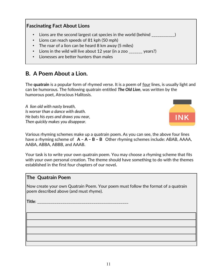#### **Fascinating Fact About Lions**

- Lions are the second largest cat species in the world (behind \_\_\_\_\_\_\_\_\_\_\_)
- Lions can reach speeds of 81 kph (50 mph)
- The roar of a lion can be heard 8 km away (5 miles)
- Lions in the wild will live about 12 year (in a zoo \_\_\_\_\_\_\_ years?)
- Lionesses are better hunters than males

## **B. A Poem About a Lion.**

The **quatrain** is a popular form of rhymed verse. It is a poem of four lines, is usually light and can be humorous. The following quatrain entitled *The Old Lion*, was written by the humorous poet, Atrocious Halitosis.

*A lion old with nasty breath, Is worser than a dance with death. He bats his eyes and draws you near, Then quickly makes you disappear.*



Various rhyming schemes make up a quatrain poem. As you can see, the above four lines have a rhyming scheme of **A – A – B – B** Other rhyming schemes include: ABAB, AAAA, AABA, ABBA, ABBB, and AAAB.

Your task is to write your own quatrain poem. You may choose a rhyming scheme that fits with your own personal creation. The theme should have something to do with the themes established in the first four chapters of our novel*.*

#### **The Quatrain Poem**

Now create your own Quatrain Poem. Your poem must follow the format of a quatrain poem described above (and must rhyme).

**Title**: \_\_\_\_\_\_\_\_\_\_\_\_\_\_\_\_\_\_\_\_\_\_\_\_\_\_\_\_\_\_\_\_\_\_\_\_\_\_\_\_\_\_\_\_\_\_\_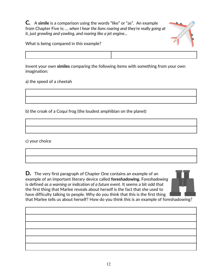**C.** A **simile** is a comparison using the words "like" or "as". An example from Chapter Five is: *… when I hear the lions roaring and they're really going at it, just growling and yowling, and roaring like a jet engine...*



What is being compared in this example?

Invent your own **similes** comparing the following items with something from your own imagination:

a) the speed of a cheetah

b) the croak of a Coqui frog (the loudest amphibian on the planet)

c) your choice

**D.** The very first paragraph of Chapter One contains an example of an example of an important literary device called **foreshadowing.** F*oreshadowing* is defined *as a warning or indication of a future event.* It seems a bit odd that the first thing that Marlee reveals about herself is the fact that she used to have difficulty talking to people. Why do you think that this is the first thing that Marlee tells us about herself? How do you think this is an example of foreshadowing?